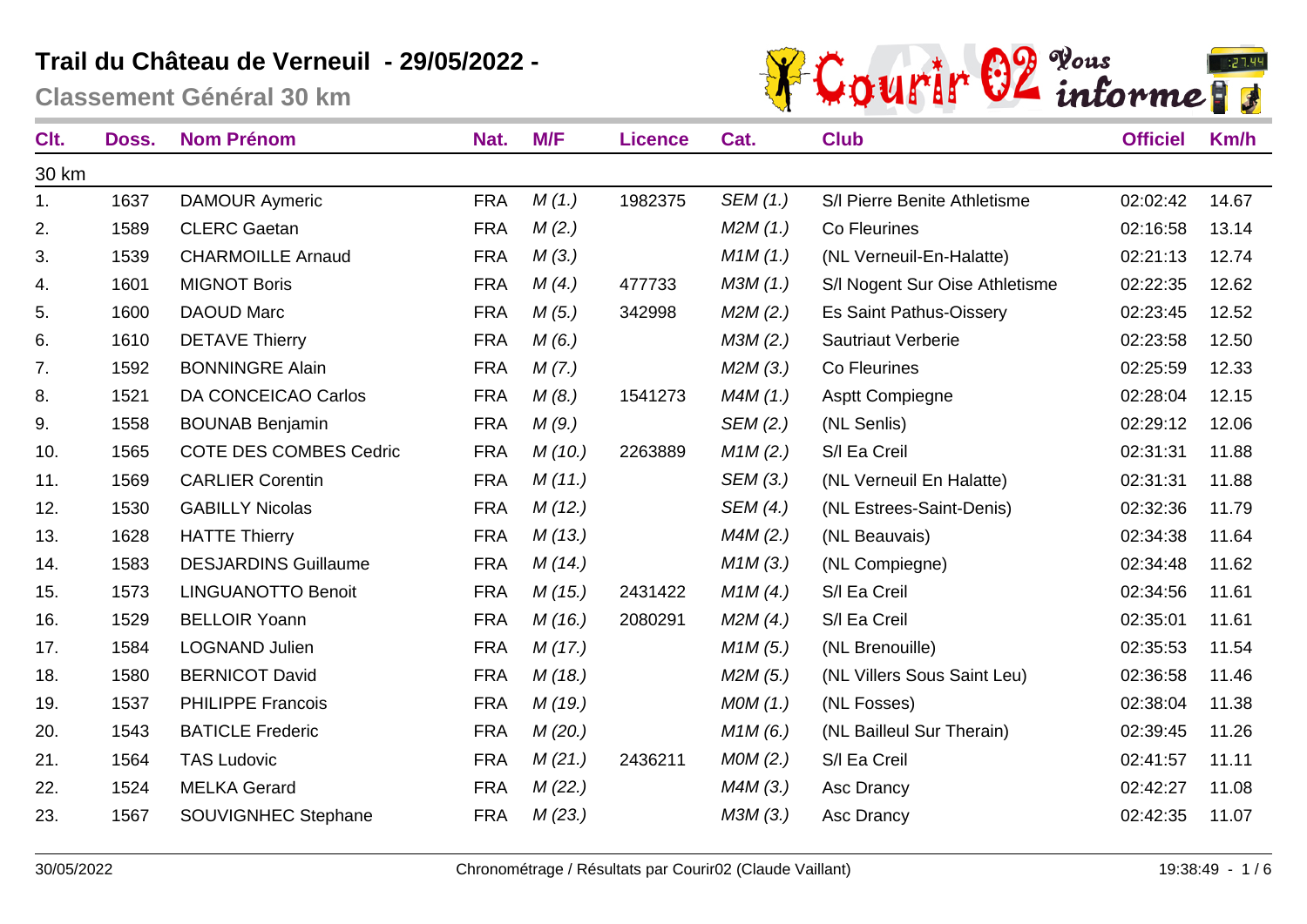

| Clt.  | Doss. | <b>Nom Prénom</b>             | Nat.       | M/F    | <b>Licence</b> | Cat.     | <b>Club</b>                    | <b>Officiel</b> | <b>Km/h</b> |
|-------|-------|-------------------------------|------------|--------|----------------|----------|--------------------------------|-----------------|-------------|
| 30 km |       |                               |            |        |                |          |                                |                 |             |
| 1.    | 1637  | <b>DAMOUR Aymeric</b>         | <b>FRA</b> | M(1.)  | 1982375        | SEM (1.) | S/I Pierre Benite Athletisme   | 02:02:42        | 14.67       |
| 2.    | 1589  | <b>CLERC Gaetan</b>           | <b>FRA</b> | M(2.)  |                | M2M(1.)  | Co Fleurines                   | 02:16:58        | 13.14       |
| 3.    | 1539  | <b>CHARMOILLE Arnaud</b>      | <b>FRA</b> | M(3.)  |                | M1M(1.)  | (NL Verneuil-En-Halatte)       | 02:21:13        | 12.74       |
| 4.    | 1601  | <b>MIGNOT Boris</b>           | <b>FRA</b> | M(4.)  | 477733         | M3M(1.)  | S/I Nogent Sur Oise Athletisme | 02:22:35        | 12.62       |
| 5.    | 1600  | <b>DAOUD Marc</b>             | <b>FRA</b> | M(5.)  | 342998         | M2M(2.)  | Es Saint Pathus-Oissery        | 02:23:45        | 12.52       |
| 6.    | 1610  | <b>DETAVE Thierry</b>         | <b>FRA</b> | M(6.)  |                | M3M(2.)  | <b>Sautriaut Verberie</b>      | 02:23:58        | 12.50       |
| 7.    | 1592  | <b>BONNINGRE Alain</b>        | <b>FRA</b> | M(7.)  |                | M2M(3.)  | Co Fleurines                   | 02:25:59        | 12.33       |
| 8.    | 1521  | DA CONCEICAO Carlos           | <b>FRA</b> | M(8.)  | 1541273        | M4M(1.)  | <b>Asptt Compiegne</b>         | 02:28:04        | 12.15       |
| 9.    | 1558  | <b>BOUNAB Benjamin</b>        | <b>FRA</b> | M(9.)  |                | SEM (2.) | (NL Senlis)                    | 02:29:12        | 12.06       |
| 10.   | 1565  | <b>COTE DES COMBES Cedric</b> | <b>FRA</b> | M(10.) | 2263889        | M1M(2.)  | S/I Ea Creil                   | 02:31:31        | 11.88       |
| 11.   | 1569  | <b>CARLIER Corentin</b>       | <b>FRA</b> | M(11.) |                | SEM (3.) | (NL Verneuil En Halatte)       | 02:31:31        | 11.88       |
| 12.   | 1530  | <b>GABILLY Nicolas</b>        | <b>FRA</b> | M(12.) |                | SEM (4.) | (NL Estrees-Saint-Denis)       | 02:32:36        | 11.79       |
| 13.   | 1628  | <b>HATTE Thierry</b>          | <b>FRA</b> | M(13.) |                | M4M(2.)  | (NL Beauvais)                  | 02:34:38        | 11.64       |
| 14.   | 1583  | <b>DESJARDINS Guillaume</b>   | <b>FRA</b> | M(14.) |                | M1M(3.)  | (NL Compiegne)                 | 02:34:48        | 11.62       |
| 15.   | 1573  | <b>LINGUANOTTO Benoit</b>     | <b>FRA</b> | M(15.) | 2431422        | M1M(4)   | S/I Ea Creil                   | 02:34:56        | 11.61       |
| 16.   | 1529  | <b>BELLOIR Yoann</b>          | <b>FRA</b> | M(16.) | 2080291        | M2M(4.)  | S/I Ea Creil                   | 02:35:01        | 11.61       |
| 17.   | 1584  | <b>LOGNAND Julien</b>         | <b>FRA</b> | M(17.) |                | M1M(5.)  | (NL Brenouille)                | 02:35:53        | 11.54       |
| 18.   | 1580  | <b>BERNICOT David</b>         | <b>FRA</b> | M(18.) |                | M2M(5.)  | (NL Villers Sous Saint Leu)    | 02:36:58        | 11.46       |
| 19.   | 1537  | <b>PHILIPPE Francois</b>      | <b>FRA</b> | M(19.) |                | MOM(1.)  | (NL Fosses)                    | 02:38:04        | 11.38       |
| 20.   | 1543  | <b>BATICLE Frederic</b>       | <b>FRA</b> | M(20.) |                | M1M(6.)  | (NL Bailleul Sur Therain)      | 02:39:45        | 11.26       |
| 21.   | 1564  | <b>TAS Ludovic</b>            | <b>FRA</b> | M(21.) | 2436211        | MOM(2.)  | S/I Ea Creil                   | 02:41:57        | 11.11       |
| 22.   | 1524  | <b>MELKA Gerard</b>           | <b>FRA</b> | M(22.) |                | M4M(3.)  | Asc Drancy                     | 02:42:27        | 11.08       |
| 23.   | 1567  | <b>SOUVIGNHEC Stephane</b>    | <b>FRA</b> | M(23.) |                | M3M(3.)  | Asc Drancy                     | 02:42:35        | 11.07       |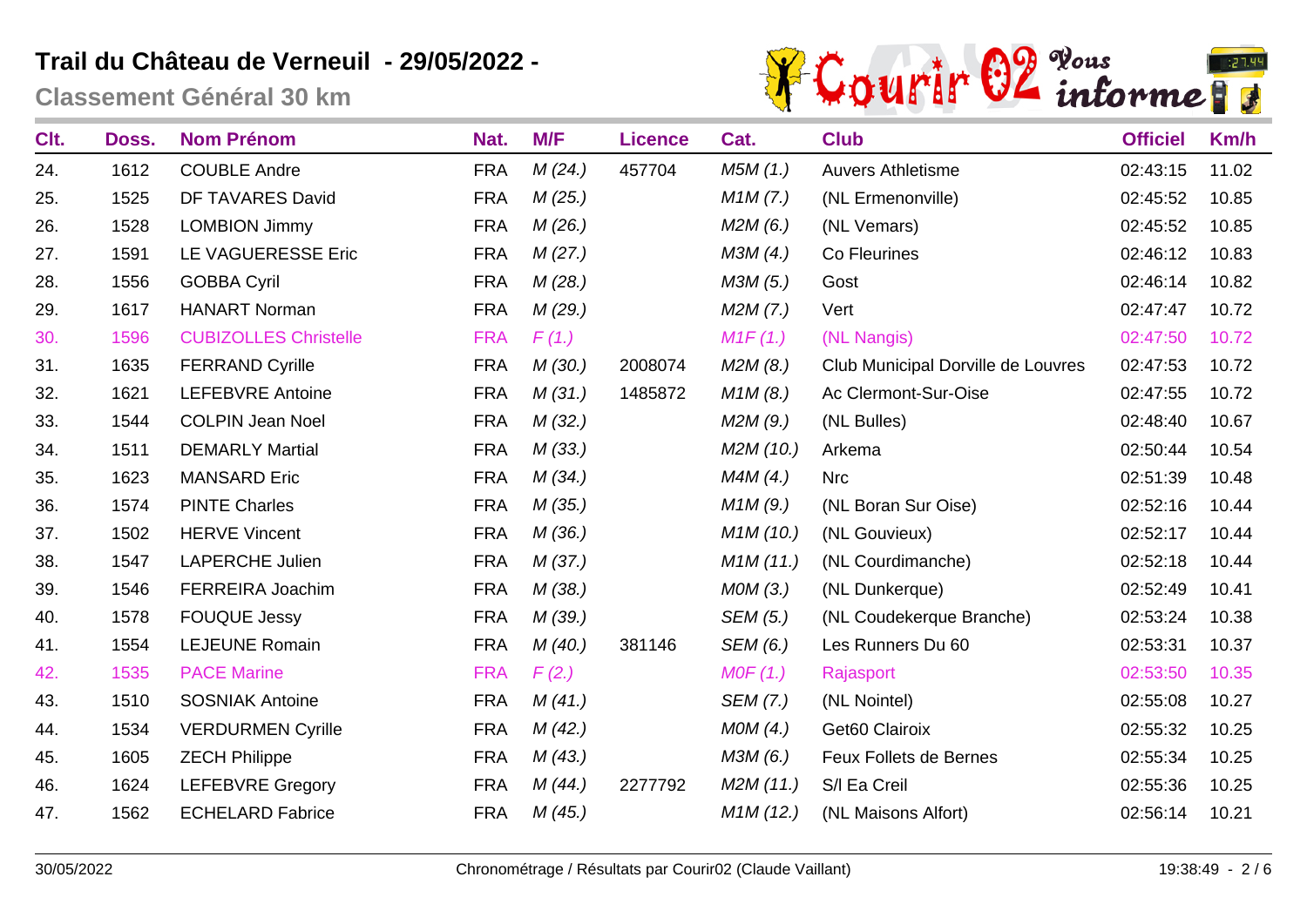

| Clt. | Doss. | <b>Nom Prénom</b>            | Nat.       | M/F    | <b>Licence</b> | Cat.      | <b>Club</b>                        | <b>Officiel</b> | Km/h  |
|------|-------|------------------------------|------------|--------|----------------|-----------|------------------------------------|-----------------|-------|
| 24.  | 1612  | <b>COUBLE Andre</b>          | <b>FRA</b> | M(24)  | 457704         | M5M(1.)   | <b>Auvers Athletisme</b>           | 02:43:15        | 11.02 |
| 25.  | 1525  | DF TAVARES David             | <b>FRA</b> | M(25.) |                | M1M(7.)   | (NL Ermenonville)                  | 02:45:52        | 10.85 |
| 26.  | 1528  | <b>LOMBION Jimmy</b>         | <b>FRA</b> | M(26.) |                | M2M(6.)   | (NL Vemars)                        | 02:45:52        | 10.85 |
| 27.  | 1591  | LE VAGUERESSE Eric           | <b>FRA</b> | M(27.) |                | M3M(4.)   | Co Fleurines                       | 02:46:12        | 10.83 |
| 28.  | 1556  | <b>GOBBA Cyril</b>           | <b>FRA</b> | M(28.) |                | M3M (5.)  | Gost                               | 02:46:14        | 10.82 |
| 29.  | 1617  | <b>HANART Norman</b>         | <b>FRA</b> | M(29.) |                | M2M(7.)   | Vert                               | 02:47:47        | 10.72 |
| 30.  | 1596  | <b>CUBIZOLLES Christelle</b> | <b>FRA</b> | F(1.)  |                | M1F(1.)   | (NL Nangis)                        | 02:47:50        | 10.72 |
| 31.  | 1635  | <b>FERRAND Cyrille</b>       | <b>FRA</b> | M(30.) | 2008074        | M2M(8.)   | Club Municipal Dorville de Louvres | 02:47:53        | 10.72 |
| 32.  | 1621  | <b>LEFEBVRE Antoine</b>      | <b>FRA</b> | M(31.) | 1485872        | M1M(8.)   | Ac Clermont-Sur-Oise               | 02:47:55        | 10.72 |
| 33.  | 1544  | <b>COLPIN Jean Noel</b>      | <b>FRA</b> | M(32.) |                | M2M(9.)   | (NL Bulles)                        | 02:48:40        | 10.67 |
| 34.  | 1511  | <b>DEMARLY Martial</b>       | <b>FRA</b> | M(33.) |                | M2M (10.) | Arkema                             | 02:50:44        | 10.54 |
| 35.  | 1623  | <b>MANSARD Eric</b>          | <b>FRA</b> | M(34.) |                | M4M(4.)   | <b>Nrc</b>                         | 02:51:39        | 10.48 |
| 36.  | 1574  | <b>PINTE Charles</b>         | <b>FRA</b> | M(35.) |                | M1M(9.)   | (NL Boran Sur Oise)                | 02:52:16        | 10.44 |
| 37.  | 1502  | <b>HERVE Vincent</b>         | <b>FRA</b> | M(36.) |                | M1M(10.)  | (NL Gouvieux)                      | 02:52:17        | 10.44 |
| 38.  | 1547  | <b>LAPERCHE Julien</b>       | <b>FRA</b> | M(37.) |                | M1M(11.)  | (NL Courdimanche)                  | 02:52:18        | 10.44 |
| 39.  | 1546  | FERREIRA Joachim             | <b>FRA</b> | M(38.) |                | MOM(3.)   | (NL Dunkerque)                     | 02:52:49        | 10.41 |
| 40.  | 1578  | <b>FOUQUE Jessy</b>          | <b>FRA</b> | M(39.) |                | SEM (5.)  | (NL Coudekerque Branche)           | 02:53:24        | 10.38 |
| 41.  | 1554  | <b>LEJEUNE Romain</b>        | <b>FRA</b> | M(40.) | 381146         | SEM (6.)  | Les Runners Du 60                  | 02:53:31        | 10.37 |
| 42.  | 1535  | <b>PACE Marine</b>           | <b>FRA</b> | F(2.)  |                | MOF(1.)   | Rajasport                          | 02:53:50        | 10.35 |
| 43.  | 1510  | <b>SOSNIAK Antoine</b>       | <b>FRA</b> | M(41.) |                | SEM (7.)  | (NL Nointel)                       | 02:55:08        | 10.27 |
| 44.  | 1534  | <b>VERDURMEN Cyrille</b>     | <b>FRA</b> | M(42.) |                | MOM(4.)   | Get60 Clairoix                     | 02:55:32        | 10.25 |
| 45.  | 1605  | <b>ZECH Philippe</b>         | <b>FRA</b> | M(43.) |                | M3M(6.)   | Feux Follets de Bernes             | 02:55:34        | 10.25 |
| 46.  | 1624  | <b>LEFEBVRE Gregory</b>      | <b>FRA</b> | M(44)  | 2277792        | M2M(11.)  | S/I Ea Creil                       | 02:55:36        | 10.25 |
| 47.  | 1562  | <b>ECHELARD Fabrice</b>      | <b>FRA</b> | M(45.) |                | M1M(12.)  | (NL Maisons Alfort)                | 02:56:14        | 10.21 |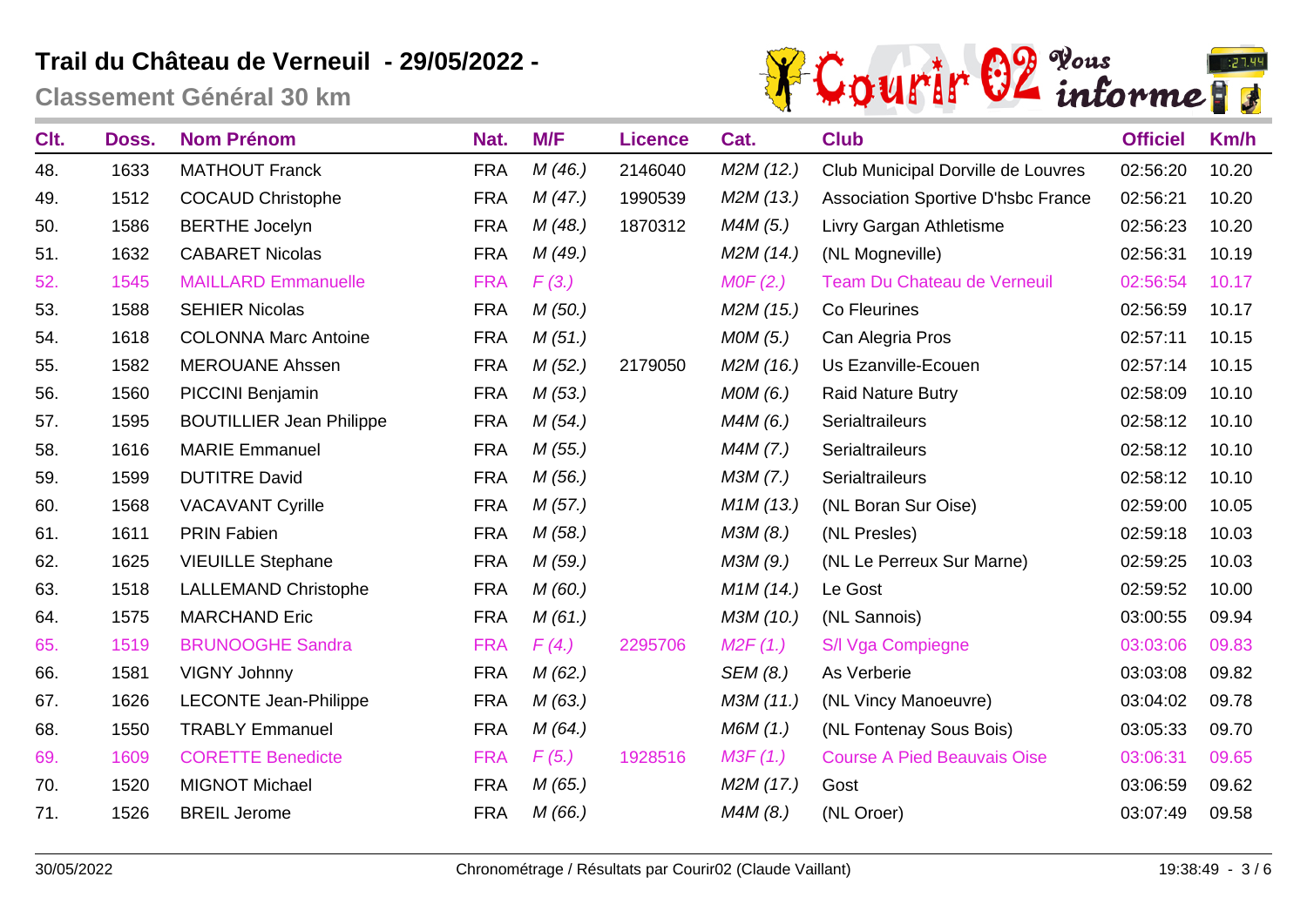

| Clt. | Doss. | <b>Nom Prénom</b>               | Nat.       | M/F    | <b>Licence</b> | Cat.      | <b>Club</b>                               | <b>Officiel</b> | Km/h  |
|------|-------|---------------------------------|------------|--------|----------------|-----------|-------------------------------------------|-----------------|-------|
| 48.  | 1633  | <b>MATHOUT Franck</b>           | <b>FRA</b> | M(46.) | 2146040        | M2M(12.)  | Club Municipal Dorville de Louvres        | 02:56:20        | 10.20 |
| 49.  | 1512  | <b>COCAUD Christophe</b>        | <b>FRA</b> | M(47.) | 1990539        | M2M (13.) | <b>Association Sportive D'hsbc France</b> | 02:56:21        | 10.20 |
| 50.  | 1586  | <b>BERTHE Jocelyn</b>           | <b>FRA</b> | M(48.) | 1870312        | M4M (5.)  | Livry Gargan Athletisme                   | 02:56:23        | 10.20 |
| 51.  | 1632  | <b>CABARET Nicolas</b>          | <b>FRA</b> | M(49.) |                | M2M (14.) | (NL Mogneville)                           | 02:56:31        | 10.19 |
| 52.  | 1545  | <b>MAILLARD Emmanuelle</b>      | <b>FRA</b> | F(3.)  |                | MOF(2.)   | Team Du Chateau de Verneuil               | 02:56:54        | 10.17 |
| 53.  | 1588  | <b>SEHIER Nicolas</b>           | <b>FRA</b> | M(50.) |                | M2M (15.) | Co Fleurines                              | 02:56:59        | 10.17 |
| 54.  | 1618  | <b>COLONNA Marc Antoine</b>     | <b>FRA</b> | M(51.) |                | MOM(5.)   | Can Alegria Pros                          | 02:57:11        | 10.15 |
| 55.  | 1582  | <b>MEROUANE Ahssen</b>          | <b>FRA</b> | M(52.) | 2179050        | M2M (16.) | Us Ezanville-Ecouen                       | 02:57:14        | 10.15 |
| 56.  | 1560  | PICCINI Benjamin                | <b>FRA</b> | M(53.) |                | MOM(6.)   | <b>Raid Nature Butry</b>                  | 02:58:09        | 10.10 |
| 57.  | 1595  | <b>BOUTILLIER Jean Philippe</b> | <b>FRA</b> | M(54)  |                | M4M(6.)   | Serialtraileurs                           | 02:58:12        | 10.10 |
| 58.  | 1616  | <b>MARIE Emmanuel</b>           | <b>FRA</b> | M(55.) |                | M4M (7.)  | Serialtraileurs                           | 02:58:12        | 10.10 |
| 59.  | 1599  | <b>DUTITRE David</b>            | <b>FRA</b> | M(56.) |                | M3M (7.)  | Serialtraileurs                           | 02:58:12        | 10.10 |
| 60.  | 1568  | <b>VACAVANT Cyrille</b>         | <b>FRA</b> | M(57.) |                | M1M(13.)  | (NL Boran Sur Oise)                       | 02:59:00        | 10.05 |
| 61.  | 1611  | <b>PRIN Fabien</b>              | <b>FRA</b> | M(58.) |                | M3M (8.)  | (NL Presles)                              | 02:59:18        | 10.03 |
| 62.  | 1625  | <b>VIEUILLE Stephane</b>        | <b>FRA</b> | M(59.) |                | M3M (9.)  | (NL Le Perreux Sur Marne)                 | 02:59:25        | 10.03 |
| 63.  | 1518  | <b>LALLEMAND Christophe</b>     | <b>FRA</b> | M(60.) |                | M1M(14.)  | Le Gost                                   | 02:59:52        | 10.00 |
| 64.  | 1575  | <b>MARCHAND Eric</b>            | <b>FRA</b> | M(61.) |                | M3M (10.) | (NL Sannois)                              | 03:00:55        | 09.94 |
| 65.  | 1519  | <b>BRUNOOGHE Sandra</b>         | <b>FRA</b> | F(4.)  | 2295706        | M2F(1.)   | S/I Vga Compiegne                         | 03:03:06        | 09.83 |
| 66.  | 1581  | <b>VIGNY Johnny</b>             | <b>FRA</b> | M(62.) |                | SEM (8.)  | As Verberie                               | 03:03:08        | 09.82 |
| 67.  | 1626  | <b>LECONTE Jean-Philippe</b>    | <b>FRA</b> | M(63.) |                | M3M (11.) | (NL Vincy Manoeuvre)                      | 03:04:02        | 09.78 |
| 68.  | 1550  | <b>TRABLY Emmanuel</b>          | <b>FRA</b> | M(64)  |                | M6M (1.)  | (NL Fontenay Sous Bois)                   | 03:05:33        | 09.70 |
| 69.  | 1609  | <b>CORETTE Benedicte</b>        | <b>FRA</b> | F(5.)  | 1928516        | M3F(1.)   | <b>Course A Pied Beauvais Oise</b>        | 03:06:31        | 09.65 |
| 70.  | 1520  | <b>MIGNOT Michael</b>           | <b>FRA</b> | M(65.) |                | M2M (17.) | Gost                                      | 03:06:59        | 09.62 |
| 71.  | 1526  | <b>BREIL Jerome</b>             | <b>FRA</b> | M(66.) |                | M4M(8.)   | (NL Oroer)                                | 03:07:49        | 09.58 |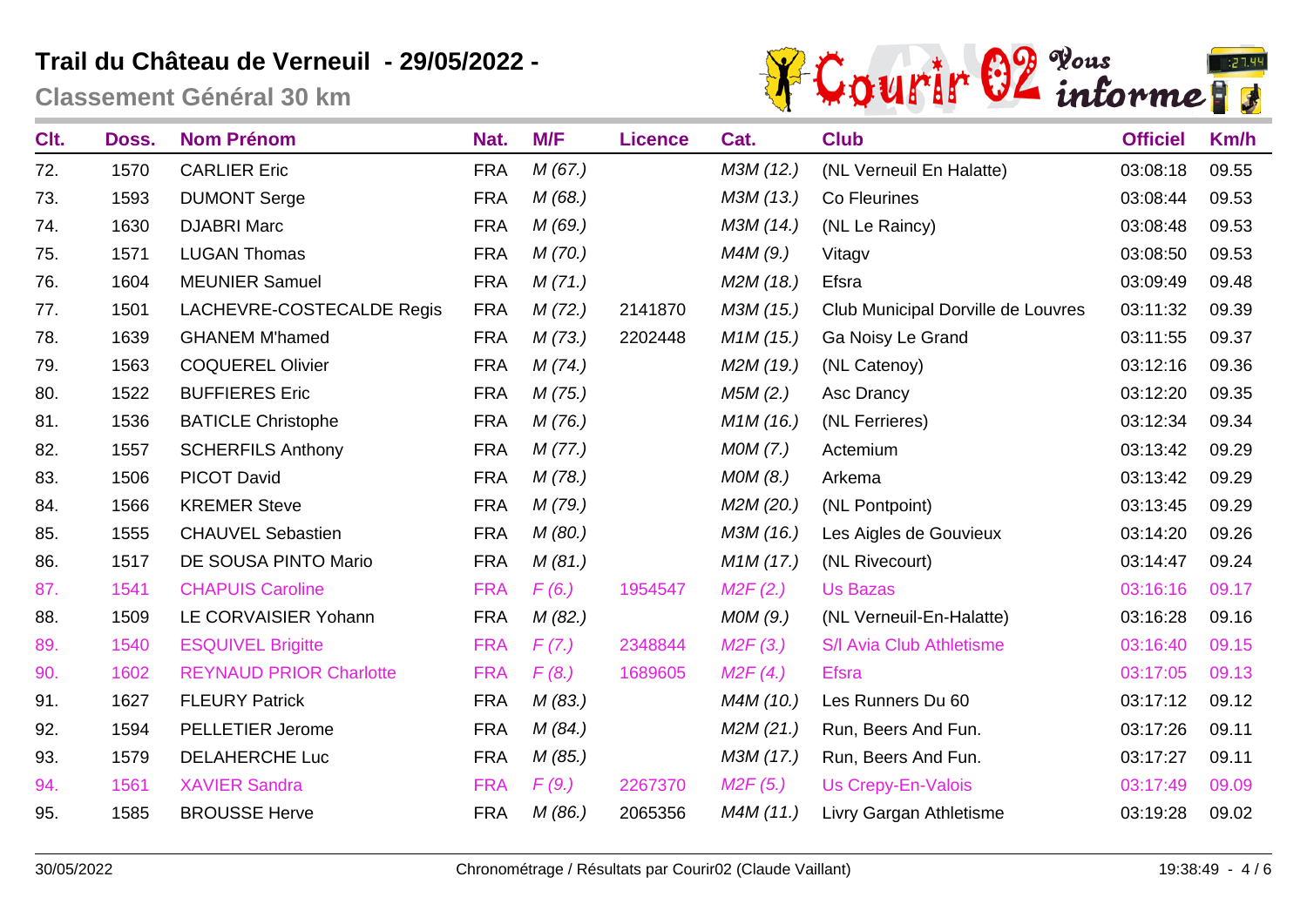

| Clt. | Doss. | <b>Nom Prénom</b>              | Nat.       | M/F    | <b>Licence</b> | Cat.      | <b>Club</b>                        | <b>Officiel</b> | Km/h  |
|------|-------|--------------------------------|------------|--------|----------------|-----------|------------------------------------|-----------------|-------|
| 72.  | 1570  | <b>CARLIER Eric</b>            | <b>FRA</b> | M(67.) |                | M3M (12.) | (NL Verneuil En Halatte)           | 03:08:18        | 09.55 |
| 73.  | 1593  | <b>DUMONT Serge</b>            | <b>FRA</b> | M(68.) |                | M3M (13.) | Co Fleurines                       | 03:08:44        | 09.53 |
| 74.  | 1630  | <b>DJABRI Marc</b>             | <b>FRA</b> | M(69.) |                | M3M (14.) | (NL Le Raincy)                     | 03:08:48        | 09.53 |
| 75.  | 1571  | <b>LUGAN Thomas</b>            | <b>FRA</b> | M(70.) |                | M4M(9.)   | Vitagv                             | 03:08:50        | 09.53 |
| 76.  | 1604  | <b>MEUNIER Samuel</b>          | <b>FRA</b> | M(71.) |                | M2M (18.) | Efsra                              | 03:09:49        | 09.48 |
| 77.  | 1501  | LACHEVRE-COSTECALDE Regis      | <b>FRA</b> | M(72.) | 2141870        | M3M (15.) | Club Municipal Dorville de Louvres | 03:11:32        | 09.39 |
| 78.  | 1639  | <b>GHANEM M'hamed</b>          | <b>FRA</b> | M(73.) | 2202448        | M1M(15.)  | Ga Noisy Le Grand                  | 03:11:55        | 09.37 |
| 79.  | 1563  | <b>COQUEREL Olivier</b>        | <b>FRA</b> | M(74)  |                | M2M (19.) | (NL Catenoy)                       | 03:12:16        | 09.36 |
| 80.  | 1522  | <b>BUFFIERES Eric</b>          | <b>FRA</b> | M(75.) |                | M5M(2.)   | Asc Drancy                         | 03:12:20        | 09.35 |
| 81.  | 1536  | <b>BATICLE Christophe</b>      | <b>FRA</b> | M(76.) |                | M1M(16.)  | (NL Ferrieres)                     | 03:12:34        | 09.34 |
| 82.  | 1557  | <b>SCHERFILS Anthony</b>       | <b>FRA</b> | M(77.) |                | MOM(7.)   | Actemium                           | 03:13:42        | 09.29 |
| 83.  | 1506  | <b>PICOT David</b>             | <b>FRA</b> | M(78.) |                | MOM(8.)   | Arkema                             | 03:13:42        | 09.29 |
| 84.  | 1566  | <b>KREMER Steve</b>            | <b>FRA</b> | M(79.) |                | M2M (20.) | (NL Pontpoint)                     | 03:13:45        | 09.29 |
| 85.  | 1555  | <b>CHAUVEL Sebastien</b>       | <b>FRA</b> | M(80.) |                | M3M (16.) | Les Aigles de Gouvieux             | 03:14:20        | 09.26 |
| 86.  | 1517  | DE SOUSA PINTO Mario           | <b>FRA</b> | M(81.) |                | M1M(17.)  | (NL Rivecourt)                     | 03:14:47        | 09.24 |
| 87.  | 1541  | <b>CHAPUIS Caroline</b>        | <b>FRA</b> | F(6.)  | 1954547        | M2F(2.)   | <b>Us Bazas</b>                    | 03:16:16        | 09.17 |
| 88.  | 1509  | LE CORVAISIER Yohann           | <b>FRA</b> | M(82.) |                | MOM(9.)   | (NL Verneuil-En-Halatte)           | 03:16:28        | 09.16 |
| 89.  | 1540  | <b>ESQUIVEL Brigitte</b>       | <b>FRA</b> | F(7.)  | 2348844        | M2F(3.)   | S/I Avia Club Athletisme           | 03:16:40        | 09.15 |
| 90.  | 1602  | <b>REYNAUD PRIOR Charlotte</b> | <b>FRA</b> | F(8.)  | 1689605        | M2F(4.)   | <b>Efsra</b>                       | 03:17:05        | 09.13 |
| 91.  | 1627  | <b>FLEURY Patrick</b>          | <b>FRA</b> | M(83.) |                | M4M (10.) | Les Runners Du 60                  | 03:17:12        | 09.12 |
| 92.  | 1594  | <b>PELLETIER Jerome</b>        | <b>FRA</b> | M(84)  |                | M2M(21.)  | Run, Beers And Fun.                | 03:17:26        | 09.11 |
| 93.  | 1579  | <b>DELAHERCHE Luc</b>          | <b>FRA</b> | M(85.) |                | M3M (17.) | Run, Beers And Fun.                | 03:17:27        | 09.11 |
| 94.  | 1561  | <b>XAVIER Sandra</b>           | <b>FRA</b> | F(9.)  | 2267370        | M2F(5.)   | <b>Us Crepy-En-Valois</b>          | 03:17:49        | 09.09 |
| 95.  | 1585  | <b>BROUSSE Herve</b>           | <b>FRA</b> | M(86.) | 2065356        | M4M (11.) | Livry Gargan Athletisme            | 03:19:28        | 09.02 |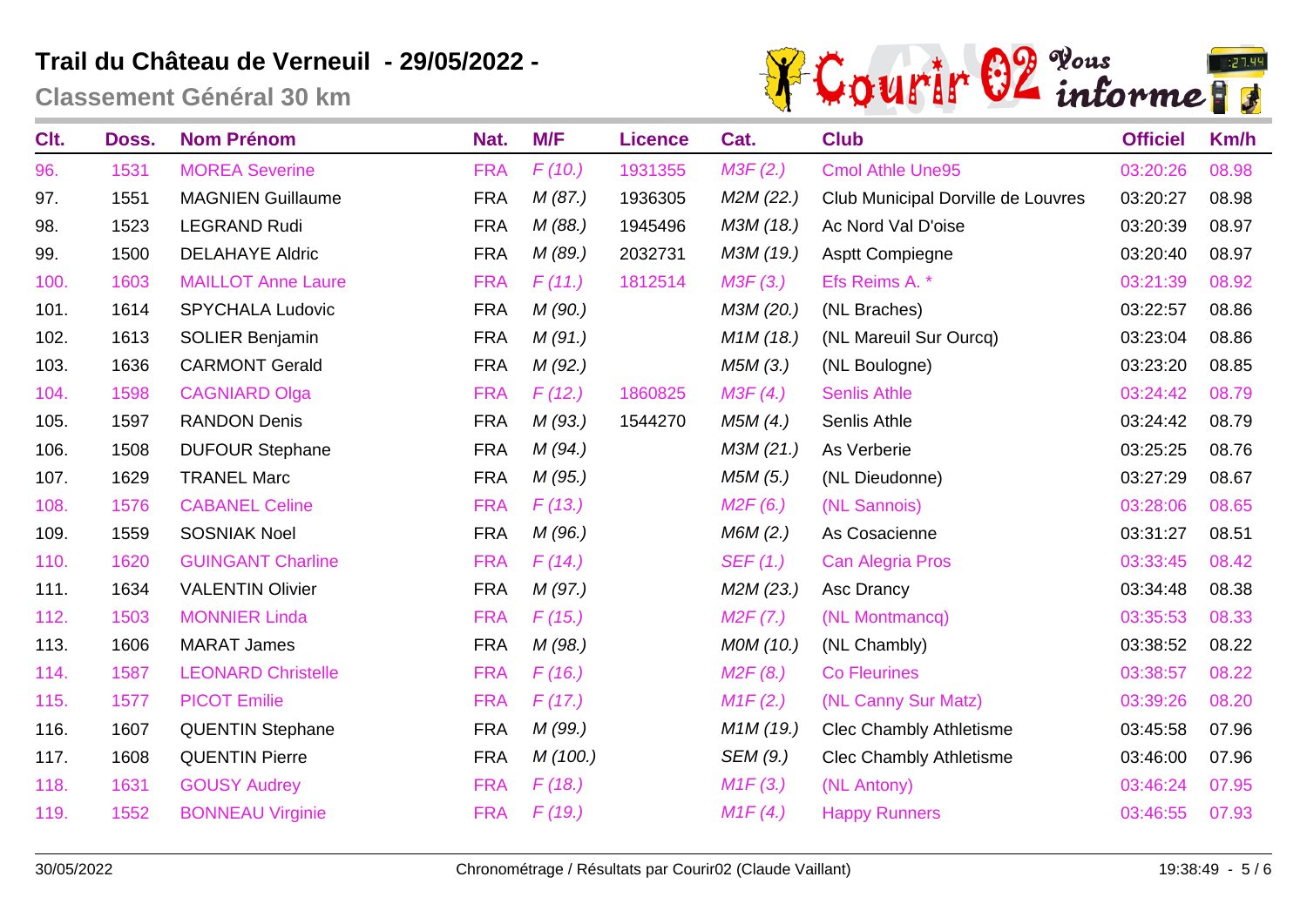

| Clt. | Doss. | <b>Nom Prénom</b>         | Nat.       | M/F     | <b>Licence</b> | Cat.                   | <b>Club</b>                        | <b>Officiel</b> | Km/h  |
|------|-------|---------------------------|------------|---------|----------------|------------------------|------------------------------------|-----------------|-------|
| 96.  | 1531  | <b>MOREA Severine</b>     | <b>FRA</b> | F(10.)  | 1931355        | M3F(2.)                | <b>Cmol Athle Une95</b>            | 03:20:26        | 08.98 |
| 97.  | 1551  | <b>MAGNIEN Guillaume</b>  | <b>FRA</b> | M(87.)  | 1936305        | M2M (22.)              | Club Municipal Dorville de Louvres | 03:20:27        | 08.98 |
| 98.  | 1523  | <b>LEGRAND Rudi</b>       | <b>FRA</b> | M(88.)  | 1945496        | M3M (18.)              | Ac Nord Val D'oise                 | 03:20:39        | 08.97 |
| 99.  | 1500  | <b>DELAHAYE Aldric</b>    | <b>FRA</b> | M (89.) | 2032731        | M3M (19.)              | <b>Asptt Compiegne</b>             | 03:20:40        | 08.97 |
| 100. | 1603  | <b>MAILLOT Anne Laure</b> | <b>FRA</b> | F(11.)  | 1812514        | M3F(3.)                | Efs Reims A. *                     | 03:21:39        | 08.92 |
| 101. | 1614  | <b>SPYCHALA Ludovic</b>   | <b>FRA</b> | M(90.)  |                | M3M (20.)              | (NL Braches)                       | 03:22:57        | 08.86 |
| 102. | 1613  | SOLIER Benjamin           | <b>FRA</b> | M(91.)  |                | M <sub>1</sub> M (18.) | (NL Mareuil Sur Ourcq)             | 03:23:04        | 08.86 |
| 103. | 1636  | <b>CARMONT Gerald</b>     | <b>FRA</b> | M(92.)  |                | M5M (3.)               | (NL Boulogne)                      | 03:23:20        | 08.85 |
| 104. | 1598  | <b>CAGNIARD Olga</b>      | <b>FRA</b> | F(12.)  | 1860825        | M3F(4.)                | <b>Senlis Athle</b>                | 03:24:42        | 08.79 |
| 105. | 1597  | <b>RANDON Denis</b>       | <b>FRA</b> | M(93.)  | 1544270        | M5M (4.)               | Senlis Athle                       | 03:24:42        | 08.79 |
| 106. | 1508  | <b>DUFOUR Stephane</b>    | <b>FRA</b> | M(94)   |                | M3M (21.)              | As Verberie                        | 03:25:25        | 08.76 |
| 107. | 1629  | <b>TRANEL Marc</b>        | <b>FRA</b> | M(95.)  |                | M5M (5.)               | (NL Dieudonne)                     | 03:27:29        | 08.67 |
| 108. | 1576  | <b>CABANEL Celine</b>     | <b>FRA</b> | F(13.)  |                | M2F(6.)                | (NL Sannois)                       | 03:28:06        | 08.65 |
| 109. | 1559  | <b>SOSNIAK Noel</b>       | <b>FRA</b> | M(96.)  |                | M6M(2.)                | As Cosacienne                      | 03:31:27        | 08.51 |
| 110. | 1620  | <b>GUINGANT Charline</b>  | <b>FRA</b> | F(14)   |                | SEF(1.)                | Can Alegria Pros                   | 03:33:45        | 08.42 |
| 111. | 1634  | <b>VALENTIN Olivier</b>   | <b>FRA</b> | M(97.)  |                | M2M (23.)              | Asc Drancy                         | 03:34:48        | 08.38 |
| 112. | 1503  | <b>MONNIER Linda</b>      | <b>FRA</b> | F(15.)  |                | M2F(7.)                | (NL Montmancq)                     | 03:35:53        | 08.33 |
| 113. | 1606  | <b>MARAT James</b>        | <b>FRA</b> | M(98.)  |                | MOM (10.)              | (NL Chambly)                       | 03:38:52        | 08.22 |
| 114. | 1587  | <b>LEONARD Christelle</b> | <b>FRA</b> | F(16.)  |                | M2F(8.)                | <b>Co Fleurines</b>                | 03:38:57        | 08.22 |
| 115. | 1577  | <b>PICOT Emilie</b>       | <b>FRA</b> | F(17.)  |                | M1F(2.)                | (NL Canny Sur Matz)                | 03:39:26        | 08.20 |
| 116. | 1607  | <b>QUENTIN Stephane</b>   | <b>FRA</b> | M (99.) |                | M <sub>1</sub> M (19.) | <b>Clec Chambly Athletisme</b>     | 03:45:58        | 07.96 |
| 117. | 1608  | <b>QUENTIN Pierre</b>     | <b>FRA</b> | M(100.) |                | SEM (9.)               | <b>Clec Chambly Athletisme</b>     | 03:46:00        | 07.96 |
| 118. | 1631  | <b>GOUSY Audrey</b>       | <b>FRA</b> | F(18.)  |                | M1F(3.)                | (NL Antony)                        | 03:46:24        | 07.95 |
| 119. | 1552  | <b>BONNEAU Virginie</b>   | <b>FRA</b> | F(19.)  |                | M1F(4.)                | <b>Happy Runners</b>               | 03:46:55        | 07.93 |